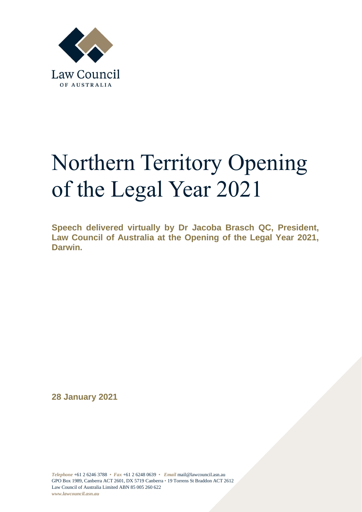

## Northern Territory Opening of the Legal Year 2021

**Speech delivered virtually by Dr Jacoba Brasch QC, President, Law Council of Australia at the Opening of the Legal Year 2021, Darwin.** 

**28 January 2021**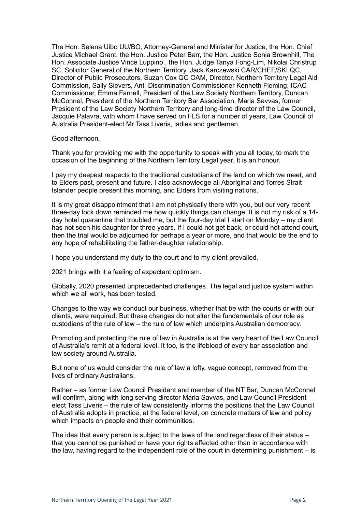The Hon. Selena Uibo UU/BO, Attorney-General and Minister for Justice, the Hon. Chief Justice Michael Grant, the Hon. Justice Peter Barr, the Hon. Justice Sonia Brownhill, The Hon. Associate Justice Vince Luppino , the Hon. Judge Tanya Fong-Lim, Nikolai Christrup SC, Solicitor General of the Northern Territory, Jack Karczewski CAR/CHEF/SKI QC, Director of Public Prosecutors, Suzan Cox QC OAM, Director, Northern Territory Legal Aid Commission, Sally Sievers, Anti-Discrimination Commissioner Kenneth Fleming, ICAC Commissioner, Emma Farnell, President of the Law Society Northern Territory, Duncan McConnel, President of the Northern Territory Bar Association, Maria Savvas, former President of the Law Society Northern Territory and long-time director of the Law Council, Jacquie Palavra, with whom I have served on FLS for a number of years, Law Council of Australia President-elect Mr Tass Liveris, ladies and gentlemen.

Good afternoon,

Thank you for providing me with the opportunity to speak with you all today, to mark the occasion of the beginning of the Northern Territory Legal year. It is an honour.

I pay my deepest respects to the traditional custodians of the land on which we meet, and to Elders past, present and future. I also acknowledge all Aboriginal and Torres Strait Islander people present this morning, and Elders from visiting nations.

It is my great disappointment that I am not physically there with you, but our very recent three-day lock down reminded me how quickly things can change. It is not my risk of a 14 day hotel quarantine that troubled me, but the four-day trial I start on Monday – my client has not seen his daughter for three years. If I could not get back, or could not attend court, then the trial would be adjourned for perhaps a year or more, and that would be the end to any hope of rehabilitating the father-daughter relationship.

I hope you understand my duty to the court and to my client prevailed.

2021 brings with it a feeling of expectant optimism.

Globally, 2020 presented unprecedented challenges. The legal and justice system within which we all work, has been tested.

Changes to the way we conduct our business, whether that be with the courts or with our clients, were required. But these changes do not alter the fundamentals of our role as custodians of the rule of law – the rule of law which underpins Australian democracy.

Promoting and protecting the rule of law in Australia is at the very heart of the Law Council of Australia's remit at a federal level. It too, is the lifeblood of every bar association and law society around Australia.

But none of us would consider the rule of law a lofty, vague concept, removed from the lives of ordinary Australians.

Rather – as former Law Council President and member of the NT Bar, Duncan McConnel will confirm, along with long serving director Maria Savvas, and Law Council Presidentelect Tass Liveris – the rule of law consistently informs the positions that the Law Council of Australia adopts in practice, at the federal level, on concrete matters of law and policy which impacts on people and their communities.

The idea that every person is subject to the laws of the land regardless of their status – that you cannot be punished or have your rights affected other than in accordance with the law, having regard to the independent role of the court in determining punishment – is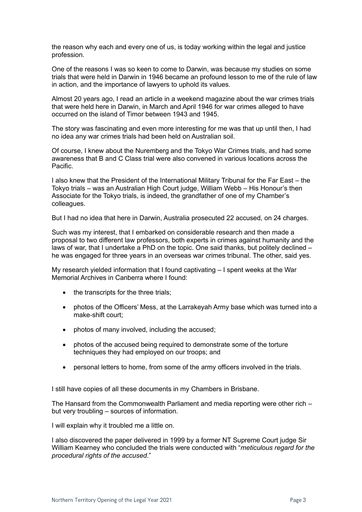the reason why each and every one of us, is today working within the legal and justice profession.

One of the reasons I was so keen to come to Darwin, was because my studies on some trials that were held in Darwin in 1946 became an profound lesson to me of the rule of law in action, and the importance of lawyers to uphold its values.

Almost 20 years ago, I read an article in a weekend magazine about the war crimes trials that were held here in Darwin, in March and April 1946 for war crimes alleged to have occurred on the island of Timor between 1943 and 1945.

The story was fascinating and even more interesting for me was that up until then, I had no idea any war crimes trials had been held on Australian soil.

Of course, I knew about the Nuremberg and the Tokyo War Crimes trials, and had some awareness that B and C Class trial were also convened in various locations across the Pacific.

I also knew that the President of the International Military Tribunal for the Far East – the Tokyo trials – was an Australian High Court judge, William Webb – His Honour's then Associate for the Tokyo trials, is indeed, the grandfather of one of my Chamber's colleagues.

But I had no idea that here in Darwin, Australia prosecuted 22 accused, on 24 charges.

Such was my interest, that I embarked on considerable research and then made a proposal to two different law professors, both experts in crimes against humanity and the laws of war, that I undertake a PhD on the topic. One said thanks, but politely declined – he was engaged for three years in an overseas war crimes tribunal. The other, said yes.

My research yielded information that I found captivating – I spent weeks at the War Memorial Archives in Canberra where I found:

- the transcripts for the three trials;
- photos of the Officers' Mess, at the Larrakeyah Army base which was turned into a make-shift court;
- photos of many involved, including the accused;
- photos of the accused being required to demonstrate some of the torture techniques they had employed on our troops; and
- personal letters to home, from some of the army officers involved in the trials.

I still have copies of all these documents in my Chambers in Brisbane.

The Hansard from the Commonwealth Parliament and media reporting were other rich – but very troubling – sources of information.

I will explain why it troubled me a little on.

I also discovered the paper delivered in 1999 by a former NT Supreme Court judge Sir William Kearney who concluded the trials were conducted with "*meticulous regard for the procedural rights of the accused*."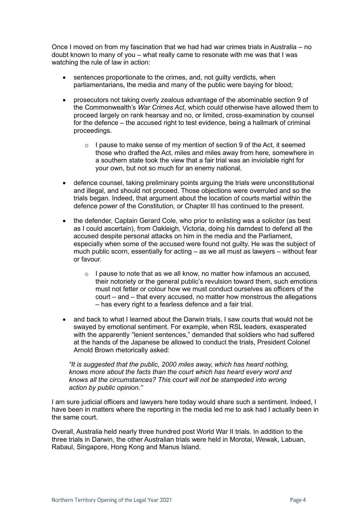Once I moved on from my fascination that we had had war crimes trials in Australia – no doubt known to many of you – what really came to resonate with me was that I was watching the rule of law in action:

- sentences proportionate to the crimes, and, not guilty verdicts, when parliamentarians, the media and many of the public were baying for blood;
- prosecutors not taking overly zealous advantage of the abominable section 9 of the Commonwealth's *War Crimes Act*, which could otherwise have allowed them to proceed largely on rank hearsay and no, or limited, cross-examination by counsel for the defence – the accused right to test evidence, being a hallmark of criminal proceedings.
	- $\circ$  I pause to make sense of my mention of section 9 of the Act, it seemed those who drafted the Act, miles and miles away from here, somewhere in a southern state took the view that a fair trial was an inviolable right for your own, but not so much for an enemy national.
- defence counsel, taking preliminary points arguing the trials were unconstitutional and illegal, and should not proceed. Those objections were overruled and so the trials began. Indeed, that argument about the location of courts martial within the defence power of the Constitution, or Chapter III has continued to the present.
- the defender, Captain Gerard Cole, who prior to enlisting was a solicitor (as best as I could ascertain), from Oakleigh, Victoria, doing his darndest to defend all the accused despite personal attacks on him in the media and the Parliament, especially when some of the accused were found not guilty. He was the subject of much public scorn, essentially for acting – as we all must as lawyers – without fear or favour.
	- o I pause to note that as we all know, no matter how infamous an accused, their notoriety or the general public's revulsion toward them, such emotions must not fetter or colour how we must conduct ourselves as officers of the court – and – that every accused, no matter how monstrous the allegations – has every right to a fearless defence and a fair trial.
- and back to what I learned about the Darwin trials, I saw courts that would not be swayed by emotional sentiment. For example, when RSL leaders, exasperated with the apparently "lenient sentences," demanded that soldiers who had suffered at the hands of the Japanese be allowed to conduct the trials, President Colonel Arnold Brown rhetorically asked:

*"It is suggested that the public, 2000 miles away, which has heard nothing, knows more about the facts than the court which has heard every word and knows all the circumstances? This court will not be stampeded into wrong action by public opinion."*

I am sure judicial officers and lawyers here today would share such a sentiment. Indeed, I have been in matters where the reporting in the media led me to ask had I actually been in the same court.

Overall, Australia held nearly three hundred post World War II trials. In addition to the three trials in Darwin, the other Australian trials were held in Morotai, Wewak, Labuan, Rabaul, Singapore, Hong Kong and Manus Island.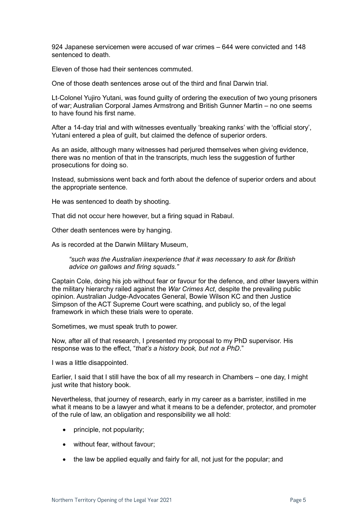924 Japanese servicemen were accused of war crimes – 644 were convicted and 148 sentenced to death.

Eleven of those had their sentences commuted.

One of those death sentences arose out of the third and final Darwin trial.

Lt-Colonel Yujiro Yutani, was found guilty of ordering the execution of two young prisoners of war; Australian Corporal James Armstrong and British Gunner Martin – no one seems to have found his first name.

After a 14-day trial and with witnesses eventually 'breaking ranks' with the 'official story', Yutani entered a plea of guilt, but claimed the defence of superior orders.

As an aside, although many witnesses had perjured themselves when giving evidence, there was no mention of that in the transcripts, much less the suggestion of further prosecutions for doing so.

Instead, submissions went back and forth about the defence of superior orders and about the appropriate sentence.

He was sentenced to death by shooting.

That did not occur here however, but a firing squad in Rabaul.

Other death sentences were by hanging.

As is recorded at the Darwin Military Museum,

*"such was the Australian inexperience that it was necessary to ask for British advice on gallows and firing squads."* 

Captain Cole, doing his job without fear or favour for the defence, and other lawyers within the military hierarchy railed against the *War Crimes Act*, despite the prevailing public opinion. Australian Judge-Advocates General, Bowie Wilson KC and then Justice Simpson of the ACT Supreme Court were scathing, and publicly so, of the legal framework in which these trials were to operate.

Sometimes, we must speak truth to power.

Now, after all of that research, I presented my proposal to my PhD supervisor. His response was to the effect, "*that's a history book, but not a PhD*."

I was a little disappointed.

Earlier, I said that I still have the box of all my research in Chambers – one day, I might just write that history book.

Nevertheless, that journey of research, early in my career as a barrister, instilled in me what it means to be a lawyer and what it means to be a defender, protector, and promoter of the rule of law, an obligation and responsibility we all hold:

- principle, not popularity;
- without fear, without favour;
- the law be applied equally and fairly for all, not just for the popular; and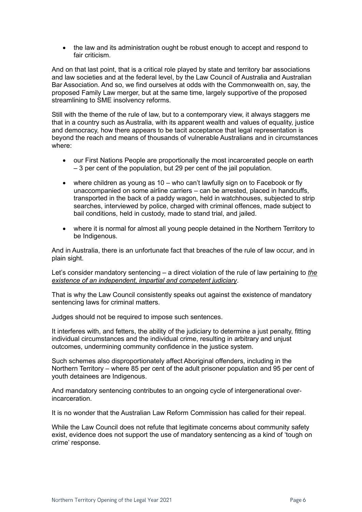• the law and its administration ought be robust enough to accept and respond to fair criticism.

And on that last point, that is a critical role played by state and territory bar associations and law societies and at the federal level, by the Law Council of Australia and Australian Bar Association. And so, we find ourselves at odds with the Commonwealth on, say, the proposed Family Law merger, but at the same time, largely supportive of the proposed streamlining to SME insolvency reforms.

Still with the theme of the rule of law, but to a contemporary view, it always staggers me that in a country such as Australia, with its apparent wealth and values of equality, justice and democracy, how there appears to be tacit acceptance that legal representation is beyond the reach and means of thousands of vulnerable Australians and in circumstances where:

- our First Nations People are proportionally the most incarcerated people on earth – 3 per cent of the population, but 29 per cent of the jail population.
- where children as young as 10 who can't lawfully sign on to Facebook or fly unaccompanied on some airline carriers – can be arrested, placed in handcuffs, transported in the back of a paddy wagon, held in watchhouses, subjected to strip searches, interviewed by police, charged with criminal offences, made subject to bail conditions, held in custody, made to stand trial, and jailed.
- where it is normal for almost all young people detained in the Northern Territory to be Indigenous.

And in Australia, there is an unfortunate fact that breaches of the rule of law occur, and in plain sight.

Let's consider mandatory sentencing – a direct violation of the rule of law pertaining to *the existence of an independent, impartial and competent judiciary*.

That is why the Law Council consistently speaks out against the existence of mandatory sentencing laws for criminal matters.

Judges should not be required to impose such sentences.

It interferes with, and fetters, the ability of the judiciary to determine a just penalty, fitting individual circumstances and the individual crime, resulting in arbitrary and unjust outcomes, undermining community confidence in the justice system.

Such schemes also disproportionately affect Aboriginal offenders, including in the Northern Territory – where 85 per cent of the adult prisoner population and 95 per cent of youth detainees are Indigenous.

And mandatory sentencing contributes to an ongoing cycle of intergenerational overincarceration.

It is no wonder that the Australian Law Reform Commission has called for their repeal.

While the Law Council does not refute that legitimate concerns about community safety exist, evidence does not support the use of mandatory sentencing as a kind of 'tough on crime' response.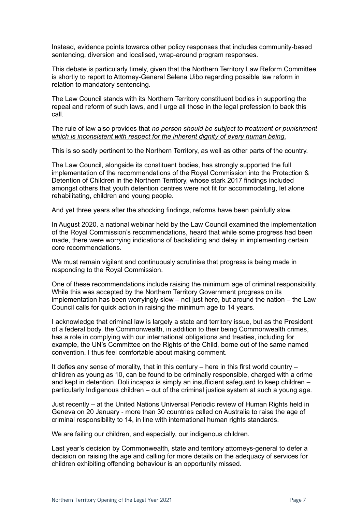Instead, evidence points towards other policy responses that includes community-based sentencing, diversion and localised, wrap-around program responses.

This debate is particularly timely, given that the Northern Territory Law Reform Committee is shortly to report to Attorney-General Selena Uibo regarding possible law reform in relation to mandatory sentencing.

The Law Council stands with its Northern Territory constituent bodies in supporting the repeal and reform of such laws, and I urge all those in the legal profession to back this call.

## The rule of law also provides that *no person should be subject to treatment or punishment which is inconsistent with respect for the inherent dignity of every human being.*

This is so sadly pertinent to the Northern Territory, as well as other parts of the country.

The Law Council, alongside its constituent bodies, has strongly supported the full implementation of the recommendations of the Royal Commission into the Protection & Detention of Children in the Northern Territory, whose stark 2017 findings included amongst others that youth detention centres were not fit for accommodating, let alone rehabilitating, children and young people.

And yet three years after the shocking findings, reforms have been painfully slow.

In August 2020, a national webinar held by the Law Council examined the implementation of the Royal Commission's recommendations, heard that while some progress had been made, there were worrying indications of backsliding and delay in implementing certain core recommendations.

We must remain vigilant and continuously scrutinise that progress is being made in responding to the Royal Commission.

One of these recommendations include raising the minimum age of criminal responsibility. While this was accepted by the Northern Territory Government progress on its implementation has been worryingly slow – not just here, but around the nation – the Law Council calls for quick action in raising the minimum age to 14 years.

I acknowledge that criminal law is largely a state and territory issue, but as the President of a federal body, the Commonwealth, in addition to their being Commonwealth crimes, has a role in complying with our international obligations and treaties, including for example, the UN's Committee on the Rights of the Child, borne out of the same named convention. I thus feel comfortable about making comment.

It defies any sense of morality, that in this century – here in this first world country – children as young as 10, can be found to be criminally responsible, charged with a crime and kept in detention. Doli incapax is simply an insufficient safeguard to keep children – particularly Indigenous children – out of the criminal justice system at such a young age.

Just recently – at the United Nations Universal Periodic review of Human Rights held in Geneva on 20 January - more than 30 countries called on Australia to raise the age of criminal responsibility to 14, in line with international human rights standards.

We are failing our children, and especially, our indigenous children.

Last year's decision by Commonwealth, state and territory attorneys-general to defer a decision on raising the age and calling for more details on the adequacy of services for children exhibiting offending behaviour is an opportunity missed.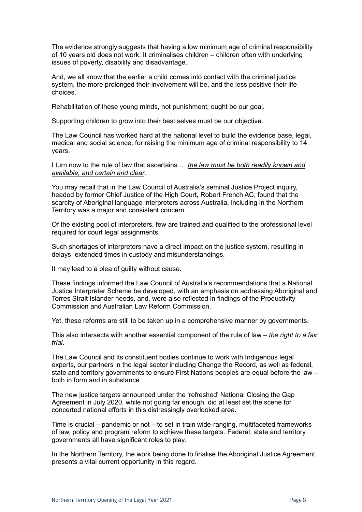The evidence strongly suggests that having a low minimum age of criminal responsibility of 10 years old does not work. It criminalises children – children often with underlying issues of poverty, disability and disadvantage.

And, we all know that the earlier a child comes into contact with the criminal justice system, the more prolonged their involvement will be, and the less positive their life choices.

Rehabilitation of these young minds, not punishment, ought be our goal.

Supporting children to grow into their best selves must be our objective.

The Law Council has worked hard at the national level to build the evidence base, legal, medical and social science, for raising the minimum age of criminal responsibility to 14 years.

I turn now to the rule of law that ascertains … *the law must be both readily known and available, and certain and clear*.

You may recall that in the Law Council of Australia's seminal Justice Project inquiry, headed by former Chief Justice of the High Court, Robert French AC, found that the scarcity of Aboriginal language interpreters across Australia, including in the Northern Territory was a major and consistent concern.

Of the existing pool of interpreters, few are trained and qualified to the professional level required for court legal assignments.

Such shortages of interpreters have a direct impact on the justice system, resulting in delays, extended times in custody and misunderstandings.

It may lead to a plea of guilty without cause.

These findings informed the Law Council of Australia's recommendations that a National Justice Interpreter Scheme be developed, with an emphasis on addressing Aboriginal and Torres Strait Islander needs, and, were also reflected in findings of the Productivity Commission and Australian Law Reform Commission.

Yet, these reforms are still to be taken up in a comprehensive manner by governments.

This also intersects with another essential component of the rule of law – *the right to a fair trial*.

The Law Council and its constituent bodies continue to work with Indigenous legal experts, our partners in the legal sector including Change the Record, as well as federal, state and territory governments to ensure First Nations peoples are equal before the law – both in form and in substance.

The new justice targets announced under the 'refreshed' National Closing the Gap Agreement in July 2020, while not going far enough, did at least set the scene for concerted national efforts in this distressingly overlooked area.

Time is crucial – pandemic or not – to set in train wide-ranging, multifaceted frameworks of law, policy and program reform to achieve these targets. Federal, state and territory governments all have significant roles to play.

In the Northern Territory, the work being done to finalise the Aboriginal Justice Agreement presents a vital current opportunity in this regard.